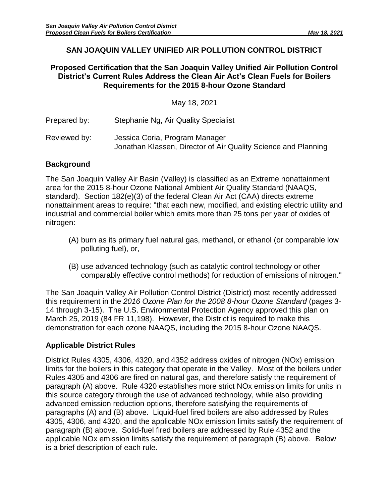# **SAN JOAQUIN VALLEY UNIFIED AIR POLLUTION CONTROL DISTRICT**

## **Proposed Certification that the San Joaquin Valley Unified Air Pollution Control District's Current Rules Address the Clean Air Act's Clean Fuels for Boilers Requirements for the 2015 8-hour Ozone Standard**

May 18, 2021

Prepared by: Stephanie Ng, Air Quality Specialist Reviewed by: Jessica Coria, Program Manager Jonathan Klassen, Director of Air Quality Science and Planning

# **Background**

The San Joaquin Valley Air Basin (Valley) is classified as an Extreme nonattainment area for the 2015 8-hour Ozone National Ambient Air Quality Standard (NAAQS, standard). Section 182(e)(3) of the federal Clean Air Act (CAA) directs extreme nonattainment areas to require: "that each new, modified, and existing electric utility and industrial and commercial boiler which emits more than 25 tons per year of oxides of nitrogen:

- (A) burn as its primary fuel natural gas, methanol, or ethanol (or comparable low polluting fuel), or,
- (B) use advanced technology (such as catalytic control technology or other comparably effective control methods) for reduction of emissions of nitrogen."

The San Joaquin Valley Air Pollution Control District (District) most recently addressed this requirement in the *2016 Ozone Plan for the 2008 8-hour Ozone Standard* (pages 3- 14 through 3-15). The U.S. Environmental Protection Agency approved this plan on March 25, 2019 (84 FR 11,198). However, the District is required to make this demonstration for each ozone NAAQS, including the 2015 8-hour Ozone NAAQS.

# **Applicable District Rules**

District Rules 4305, 4306, 4320, and 4352 address oxides of nitrogen (NOx) emission limits for the boilers in this category that operate in the Valley. Most of the boilers under Rules 4305 and 4306 are fired on natural gas, and therefore satisfy the requirement of paragraph (A) above. Rule 4320 establishes more strict NOx emission limits for units in this source category through the use of advanced technology, while also providing advanced emission reduction options, therefore satisfying the requirements of paragraphs (A) and (B) above. Liquid-fuel fired boilers are also addressed by Rules 4305, 4306, and 4320, and the applicable NOx emission limits satisfy the requirement of paragraph (B) above. Solid-fuel fired boilers are addressed by Rule 4352 and the applicable NOx emission limits satisfy the requirement of paragraph (B) above. Below is a brief description of each rule.